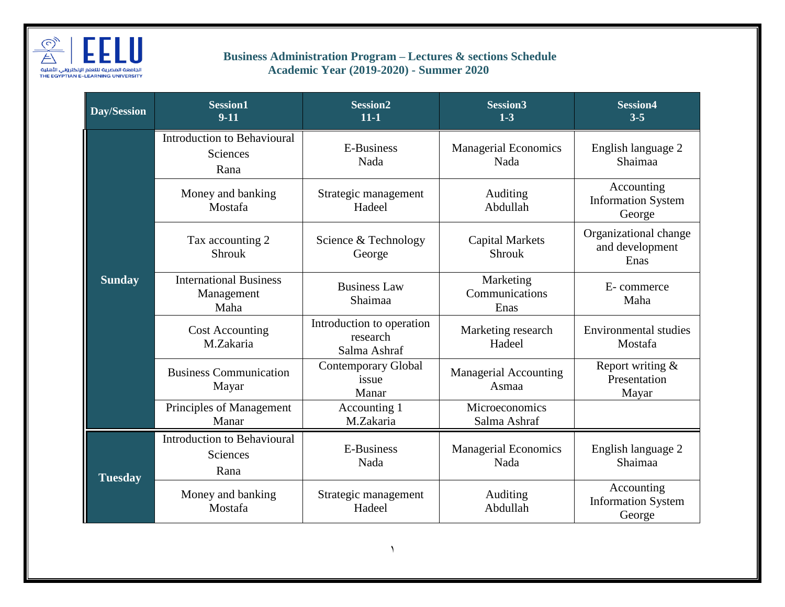

## **Business Administration Program – Lectures & sections Schedule Academic Year (2019-2020) - Summer 2020**

| Day/Session    | <b>Session1</b><br>$9-11$                              | <b>Session2</b><br>$11 - 1$                           | <b>Session3</b><br>$1-3$                | <b>Session4</b><br>$3 - 5$                        |
|----------------|--------------------------------------------------------|-------------------------------------------------------|-----------------------------------------|---------------------------------------------------|
| <b>Sunday</b>  | <b>Introduction to Behavioural</b><br>Sciences<br>Rana | E-Business<br>Nada                                    | <b>Managerial Economics</b><br>Nada     | English language 2<br>Shaimaa                     |
|                | Money and banking<br>Mostafa                           | Strategic management<br>Hadeel                        | Auditing<br>Abdullah                    | Accounting<br><b>Information System</b><br>George |
|                | Tax accounting 2<br>Shrouk                             | Science & Technology<br>George                        | <b>Capital Markets</b><br><b>Shrouk</b> | Organizational change<br>and development<br>Enas  |
|                | <b>International Business</b><br>Management<br>Maha    | <b>Business Law</b><br>Shaimaa                        | Marketing<br>Communications<br>Enas     | E-commerce<br>Maha                                |
|                | <b>Cost Accounting</b><br>M.Zakaria                    | Introduction to operation<br>research<br>Salma Ashraf | Marketing research<br>Hadeel            | <b>Environmental studies</b><br>Mostafa           |
|                | <b>Business Communication</b><br>Mayar                 | <b>Contemporary Global</b><br>issue<br>Manar          | <b>Managerial Accounting</b><br>Asmaa   | Report writing &<br>Presentation<br>Mayar         |
|                | Principles of Management<br>Manar                      | Accounting 1<br>M.Zakaria                             | <b>Microeconomics</b><br>Salma Ashraf   |                                                   |
| <b>Tuesday</b> | <b>Introduction to Behavioural</b><br>Sciences<br>Rana | E-Business<br>Nada                                    | <b>Managerial Economics</b><br>Nada     | English language 2<br>Shaimaa                     |
|                | Money and banking<br>Mostafa                           | Strategic management<br>Hadeel                        | Auditing<br>Abdullah                    | Accounting<br><b>Information System</b><br>George |